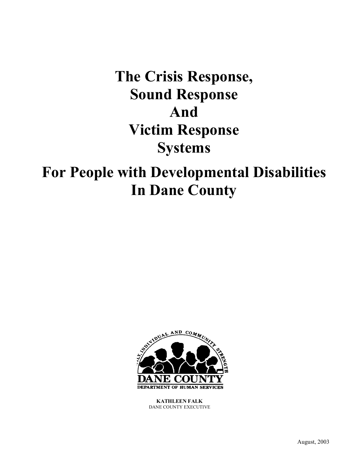# **The Crisis Response, Sound Response And Victim Response Systems**

# **For People with Developmental Disabilities In Dane County**



**KATHLEEN FALK** DANE COUNTY EXECUTIVE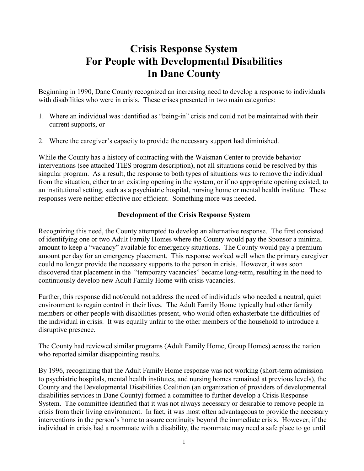# **Crisis Response System For People with Developmental Disabilities In Dane County**

Beginning in 1990, Dane County recognized an increasing need to develop a response to individuals with disabilities who were in crisis. These crises presented in two main categories:

- 1. Where an individual was identified as "being-in" crisis and could not be maintained with their current supports, or
- 2. Where the caregiver's capacity to provide the necessary support had diminished.

While the County has a history of contracting with the Waisman Center to provide behavior interventions (see attached TIES program description), not all situations could be resolved by this singular program. As a result, the response to both types of situations was to remove the individual from the situation, either to an existing opening in the system, or if no appropriate opening existed, to an institutional setting, such as a psychiatric hospital, nursing home or mental health institute. These responses were neither effective nor efficient. Something more was needed.

## **Development of the Crisis Response System**

Recognizing this need, the County attempted to develop an alternative response. The first consisted of identifying one or two Adult Family Homes where the County would pay the Sponsor a minimal amount to keep a "vacancy" available for emergency situations. The County would pay a premium amount per day for an emergency placement. This response worked well when the primary caregiver could no longer provide the necessary supports to the person in crisis. However, it was soon discovered that placement in the "temporary vacancies" became long-term, resulting in the need to continuously develop new Adult Family Home with crisis vacancies.

Further, this response did not/could not address the need of individuals who needed a neutral, quiet environment to regain control in their lives. The Adult Family Home typically had other family members or other people with disabilities present, who would often exhasterbate the difficulties of the individual in crisis. It was equally unfair to the other members of the household to introduce a disruptive presence.

The County had reviewed similar programs (Adult Family Home, Group Homes) across the nation who reported similar disappointing results.

By 1996, recognizing that the Adult Family Home response was not working (short-term admission to psychiatric hospitals, mental health institutes, and nursing homes remained at previous levels), the County and the Developmental Disabilities Coalition (an organization of providers of developmental disabilities services in Dane County) formed a committee to further develop a Crisis Response System. The committee identified that it was not always necessary or desirable to remove people in crisis from their living environment. In fact, it was most often advantageous to provide the necessary interventions in the person's home to assure continuity beyond the immediate crisis. However, if the individual in crisis had a roommate with a disability, the roommate may need a safe place to go until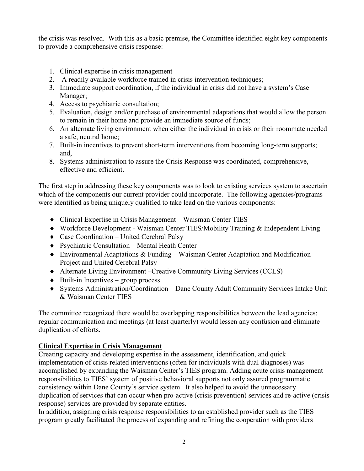the crisis was resolved. With this as a basic premise, the Committee identified eight key components to provide a comprehensive crisis response:

- 1. Clinical expertise in crisis management
- 2. A readily available workforce trained in crisis intervention techniques;
- 3. Immediate support coordination, if the individual in crisis did not have a system's Case Manager;
- 4. Access to psychiatric consultation;
- 5. Evaluation, design and/or purchase of environmental adaptations that would allow the person to remain in their home and provide an immediate source of funds;
- 6. An alternate living environment when either the individual in crisis or their roommate needed a safe, neutral home;
- 7. Built-in incentives to prevent short-term interventions from becoming long-term supports; and,
- 8. Systems administration to assure the Crisis Response was coordinated, comprehensive, effective and efficient.

The first step in addressing these key components was to look to existing services system to ascertain which of the components our current provider could incorporate. The following agencies/programs were identified as being uniquely qualified to take lead on the various components:

- Clinical Expertise in Crisis Management Waisman Center TIES
- Workforce Development Waisman Center TIES/Mobility Training & Independent Living
- ◆ Case Coordination United Cerebral Palsy
- Psychiatric Consultation Mental Heath Center
- Environmental Adaptations & Funding Waisman Center Adaptation and Modification Project and United Cerebral Palsy
- Alternate Living Environment –Creative Community Living Services (CCLS)
- $\bullet$  Built-in Incentives group process
- Systems Administration/Coordination Dane County Adult Community Services Intake Unit & Waisman Center TIES

The committee recognized there would be overlapping responsibilities between the lead agencies; regular communication and meetings (at least quarterly) would lessen any confusion and eliminate duplication of efforts.

# **Clinical Expertise in Crisis Management**

Creating capacity and developing expertise in the assessment, identification, and quick implementation of crisis related interventions (often for individuals with dual diagnoses) was accomplished by expanding the Waisman Center's TIES program. Adding acute crisis management responsibilities to TIES' system of positive behavioral supports not only assured programmatic consistency within Dane County's service system. It also helped to avoid the unnecessary duplication of services that can occur when pro-active (crisis prevention) services and re-active (crisis response) services are provided by separate entities.

In addition, assigning crisis response responsibilities to an established provider such as the TIES program greatly facilitated the process of expanding and refining the cooperation with providers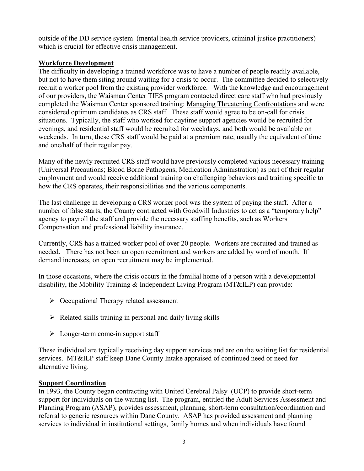outside of the DD service system (mental health service providers, criminal justice practitioners) which is crucial for effective crisis management.

## **Workforce Development**

The difficulty in developing a trained workforce was to have a number of people readily available, but not to have them siting around waiting for a crisis to occur. The committee decided to selectively recruit a worker pool from the existing provider workforce. With the knowledge and encouragement of our providers, the Waisman Center TIES program contacted direct care staff who had previously completed the Waisman Center sponsored training: Managing Threatening Confrontations and were considered optimum candidates as CRS staff. These staff would agree to be on-call for crisis situations. Typically, the staff who worked for daytime support agencies would be recruited for evenings, and residential staff would be recruited for weekdays, and both would be available on weekends. In turn, these CRS staff would be paid at a premium rate, usually the equivalent of time and one/half of their regular pay.

Many of the newly recruited CRS staff would have previously completed various necessary training (Universal Precautions; Blood Borne Pathogens; Medication Administration) as part of their regular employment and would receive additional training on challenging behaviors and training specific to how the CRS operates, their responsibilities and the various components.

The last challenge in developing a CRS worker pool was the system of paying the staff. After a number of false starts, the County contracted with Goodwill Industries to act as a "temporary help" agency to payroll the staff and provide the necessary staffing benefits, such as Workers Compensation and professional liability insurance.

Currently, CRS has a trained worker pool of over 20 people. Workers are recruited and trained as needed. There has not been an open recruitment and workers are added by word of mouth. If demand increases, on open recruitment may be implemented.

In those occasions, where the crisis occurs in the familial home of a person with a developmental disability, the Mobility Training & Independent Living Program (MT&ILP) can provide:

- $\triangleright$  Occupational Therapy related assessment
- $\triangleright$  Related skills training in personal and daily living skills
- $\triangleright$  Longer-term come-in support staff

These individual are typically receiving day support services and are on the waiting list for residential services. MT&ILP staff keep Dane County Intake appraised of continued need or need for alternative living.

## **Support Coordination**

In 1993, the County began contracting with United Cerebral Palsy (UCP) to provide short-term support for individuals on the waiting list. The program, entitled the Adult Services Assessment and Planning Program (ASAP), provides assessment, planning, short-term consultation/coordination and referral to generic resources within Dane County. ASAP has provided assessment and planning services to individual in institutional settings, family homes and when individuals have found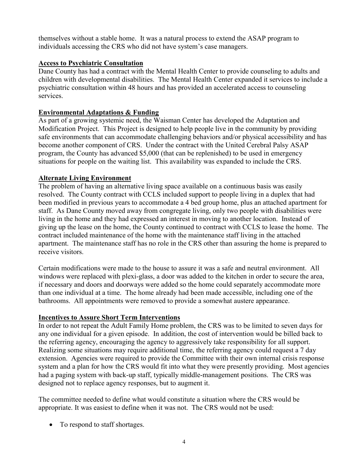themselves without a stable home. It was a natural process to extend the ASAP program to individuals accessing the CRS who did not have system's case managers.

#### **Access to Psychiatric Consultation**

Dane County has had a contract with the Mental Health Center to provide counseling to adults and children with developmental disabilities. The Mental Health Center expanded it services to include a psychiatric consultation within 48 hours and has provided an accelerated access to counseling services.

#### **Environmental Adaptations & Funding**

As part of a growing systemic need, the Waisman Center has developed the Adaptation and Modification Project. This Project is designed to help people live in the community by providing safe environments that can accommodate challenging behaviors and/or physical accessibility and has become another component of CRS. Under the contract with the United Cerebral Palsy ASAP program, the County has advanced \$5,000 (that can be replenished) to be used in emergency situations for people on the waiting list. This availability was expanded to include the CRS.

#### **Alternate Living Environment**

The problem of having an alternative living space available on a continuous basis was easily resolved. The County contract with CCLS included support to people living in a duplex that had been modified in previous years to accommodate a 4 bed group home, plus an attached apartment for staff. As Dane County moved away from congregate living, only two people with disabilities were living in the home and they had expressed an interest in moving to another location. Instead of giving up the lease on the home, the County continued to contract with CCLS to lease the home. The contract included maintenance of the home with the maintenance staff living in the attached apartment. The maintenance staff has no role in the CRS other than assuring the home is prepared to receive visitors.

Certain modifications were made to the house to assure it was a safe and neutral environment. All windows were replaced with plexi-glass, a door was added to the kitchen in order to secure the area, if necessary and doors and doorways were added so the home could separately accommodate more than one individual at a time. The home already had been made accessible, including one of the bathrooms. All appointments were removed to provide a somewhat austere appearance.

#### **Incentives to Assure Short Term Interventions**

In order to not repeat the Adult Family Home problem, the CRS was to be limited to seven days for any one individual for a given episode. In addition, the cost of intervention would be billed back to the referring agency, encouraging the agency to aggressively take responsibility for all support. Realizing some situations may require additional time, the referring agency could request a 7 day extension. Agencies were required to provide the Committee with their own internal crisis response system and a plan for how the CRS would fit into what they were presently providing. Most agencies had a paging system with back-up staff, typically middle-management positions. The CRS was designed not to replace agency responses, but to augment it.

The committee needed to define what would constitute a situation where the CRS would be appropriate. It was easiest to define when it was not. The CRS would not be used:

• To respond to staff shortages.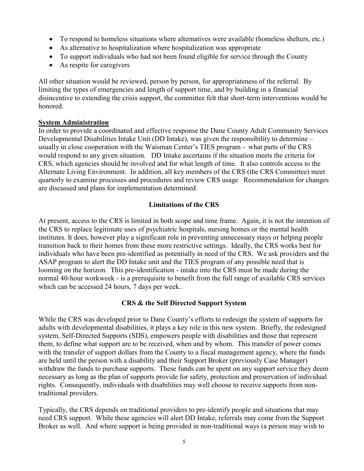- To respond to homeless situations where alternatives were available (homeless shelters, etc.)
- As alternative to hospitalization where hospitalization was appropriate
- To support individuals who had not been found eligible for service through the County
- As respite for caregivers

All other situation would be reviewed, person by person, for appropriateness of the referral. By limiting the types of emergencies and length of support time, and by building in a financial disincentive to extending the crisis support, the committee felt that short-term interventions would be honored.

### **System Administration**

In order to provide a coordinated and effective response the Dane County Adult Community Services Developmental Disabilities Intake Unit (DD Intake), was given the responsibility to determine – usually in close cooperation with the Waisman Center's TIES program - what parts of the CRS would respond to any given situation. DD Intake ascertains if the situation meets the criteria for CRS, which agencies should be involved and for what length of time. It also controls access to the Alternate Living Environment. In addition, all key members of the CRS (the CRS Committee) meet quarterly to examine processes and procedures and review CRS usage Recommendation for changes are discussed and plans for implementation determined.

# **Limitations of the CRS**

At present, access to the CRS is limited in both scope and time frame. Again, it is not the intention of the CRS to replace legitimate uses of psychiatric hospitals, nursing homes or the mental health institutes. It does, however play a significant role in preventing unnecessary stays or helping people transition back to their homes from these more restrictive settings. Ideally, the CRS works best for individuals who have been pre-identified as potentially in need of the CRS. We ask providers and the ASAP program to alert the DD Intake unit and the TIES program of any possible need that is looming on the horizon. This pre-identification - intake into the CRS must be made during the normal 40-hour workweek - is a prerequisite to benefit from the full range of available CRS services which can be accessed 24 hours, 7 days per week..

# **CRS & the Self Directed Support System**

While the CRS was developed prior to Dane County's efforts to redesign the system of supports for adults with developmental disabilities, it plays a key role in this new system. Briefly, the redesigned system, Self-Directed Supports (SDS), empowers people with disabilities and those that represent them, to define what support are to be received, when and by whom. This transfer of power comes with the transfer of support dollars from the County to a fiscal management agency, where the funds are held until the person with a disability and their Support Broker (previously Case Manager) withdraw the funds to purchase supports. These funds can be spent on any support service they deem necessary as long as the plan of supports provide for safety, protection and preservation of individual rights. Consequently, individuals with disabilities may well choose to receive supports from nontraditional providers.

Typically, the CRS depends on traditional providers to pre-identify people and situations that may need CRS support. While these agencies will alert DD Intake, referrals may come from the Support Broker as well. And where support is being provided in non-traditional ways (a person may wish to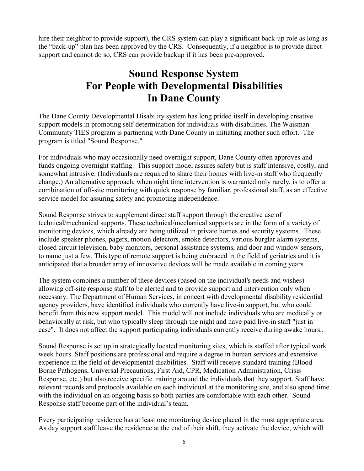hire their neighbor to provide support), the CRS system can play a significant back-up role as long as the "back-up" plan has been approved by the CRS. Consequently, if a neighbor is to provide direct support and cannot do so, CRS can provide backup if it has been pre-approved.

# **Sound Response System For People with Developmental Disabilities In Dane County**

The Dane County Developmental Disability system has long prided itself in developing creative support models in promoting self-determination for individuals with disabilities. The Waisman-Community TIES program is partnering with Dane County in initiating another such effort. The program is titled "Sound Response."

For individuals who may occasionally need overnight support, Dane County often approves and funds ongoing overnight staffing. This support model assures safety but is staff intensive, costly, and somewhat intrusive. (Individuals are required to share their homes with live-in staff who frequently change.) An alternative approach, when night time intervention is warranted only rarely, is to offer a combination of off-site monitoring with quick response by familiar, professional staff, as an effective service model for assuring safety and promoting independence.

Sound Response strives to supplement direct staff support through the creative use of technical/mechanical supports. These technical/mechanical supports are in the form of a variety of monitoring devices, which already are being utilized in private homes and security systems. These include speaker phones, pagers, motion detectors, smoke detectors, various burglar alarm systems, closed circuit television, baby monitors, personal assistance systems, and door and window sensors, to name just a few. This type of remote support is being embraced in the field of geriatrics and it is anticipated that a broader array of innovative devices will be made available in coming years.

The system combines a number of these devices (based on the individual's needs and wishes) allowing off-site response staff to be alerted and to provide support and intervention only when necessary. The Department of Human Services, in concert with developmental disability residential agency providers, have identified individuals who currently have live-in support, but who could benefit from this new support model. This model will not include individuals who are medically or behaviorally at risk, but who typically sleep through the night and have paid live-in staff "just in case". It does not affect the support participating individuals currently receive during awake hours..

Sound Response is set up in strategically located monitoring sites, which is staffed after typical work week hours. Staff positions are professional and require a degree in human services and extensive experience in the field of developmental disabilities. Staff will receive standard training (Blood Borne Pathogens, Universal Precautions, First Aid, CPR, Medication Administration, Crisis Response, etc.) but also receive specific training around the individuals that they support. Staff have relevant records and protocols available on each individual at the monitoring site, and also spend time with the individual on an ongoing basis so both parties are comfortable with each other. Sound Response staff become part of the individual's team.

Every participating residence has at least one monitoring device placed in the most appropriate area. As day support staff leave the residence at the end of their shift, they activate the device, which will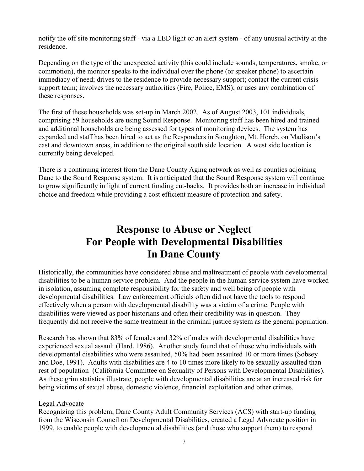notify the off site monitoring staff - via a LED light or an alert system - of any unusual activity at the residence.

Depending on the type of the unexpected activity (this could include sounds, temperatures, smoke, or commotion), the monitor speaks to the individual over the phone (or speaker phone) to ascertain immediacy of need; drives to the residence to provide necessary support; contact the current crisis support team; involves the necessary authorities (Fire, Police, EMS); or uses any combination of these responses.

The first of these households was set-up in March 2002. As of August 2003, 101 individuals, comprising 59 households are using Sound Response. Monitoring staff has been hired and trained and additional households are being assessed for types of monitoring devices. The system has expanded and staff has been hired to act as the Responders in Stoughton, Mt. Horeb, on Madison's east and downtown areas, in addition to the original south side location. A west side location is currently being developed.

There is a continuing interest from the Dane County Aging network as well as counties adjoining Dane to the Sound Response system. It is anticipated that the Sound Response system will continue to grow significantly in light of current funding cut-backs. It provides both an increase in individual choice and freedom while providing a cost efficient measure of protection and safety.

# **Response to Abuse or Neglect For People with Developmental Disabilities In Dane County**

Historically, the communities have considered abuse and maltreatment of people with developmental disabilities to be a human service problem. And the people in the human service system have worked in isolation, assuming complete responsibility for the safety and well being of people with developmental disabilities. Law enforcement officials often did not have the tools to respond effectively when a person with developmental disability was a victim of a crime. People with disabilities were viewed as poor historians and often their credibility was in question. They frequently did not receive the same treatment in the criminal justice system as the general population.

Research has shown that 83% of females and 32% of males with developmental disabilities have experienced sexual assault (Hard, 1986). Another study found that of those who individuals with developmental disabilities who were assaulted, 50% had been assaulted 10 or more times (Sobsey and Doe, 1991). Adults with disabilities are 4 to 10 times more likely to be sexually assaulted than rest of population (California Committee on Sexuality of Persons with Developmental Disabilities). As these grim statistics illustrate, people with developmental disabilities are at an increased risk for being victims of sexual abuse, domestic violence, financial exploitation and other crimes.

### Legal Advocate

Recognizing this problem, Dane County Adult Community Services (ACS) with start-up funding from the Wisconsin Council on Developmental Disabilities, created a Legal Advocate position in 1999, to enable people with developmental disabilities (and those who support them) to respond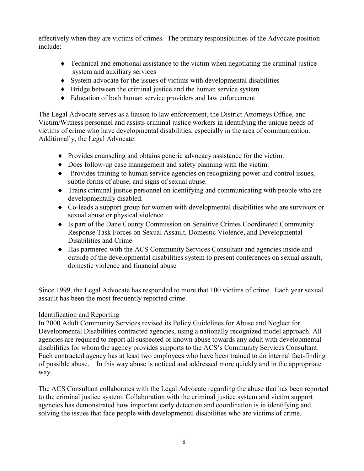effectively when they are victims of crimes. The primary responsibilities of the Advocate position include:

- Technical and emotional assistance to the victim when negotiating the criminal justice system and auxiliary services
- System advocate for the issues of victims with developmental disabilities
- Bridge between the criminal justice and the human service system
- Education of both human service providers and law enforcement

The Legal Advocate serves as a liaison to law enforcement, the District Attorneys Office, and Victim/Witness personnel and assists criminal justice workers in identifying the unique needs of victims of crime who have developmental disabilities, especially in the area of communication. Additionally, the Legal Advocate:

- Provides counseling and obtains generic advocacy assistance for the victim.
- Does follow-up case management and safety planning with the victim.
- Provides training to human service agencies on recognizing power and control issues, subtle forms of abuse, and signs of sexual abuse.
- Trains criminal justice personnel on identifying and communicating with people who are developmentally disabled.
- Co-leads a support group for women with developmental disabilities who are survivors or sexual abuse or physical violence.
- Is part of the Dane County Commission on Sensitive Crimes Coordinated Community Response Task Forces on Sexual Assault, Domestic Violence, and Developmental Disabilities and Crime
- Has partnered with the ACS Community Services Consultant and agencies inside and outside of the developmental disabilities system to present conferences on sexual assault, domestic violence and financial abuse

Since 1999, the Legal Advocate has responded to more that 100 victims of crime. Each year sexual assault has been the most frequently reported crime.

# Identification and Reporting

In 2000 Adult Community Services revised its Policy Guidelines for Abuse and Neglect for Developmental Disabilities contracted agencies, using a nationally recognized model approach. All agencies are required to report all suspected or known abuse towards any adult with developmental disabilities for whom the agency provides supports to the ACS's Community Services Consultant. Each contracted agency has at least two employees who have been trained to do internal fact-finding of possible abuse. In this way abuse is noticed and addressed more quickly and in the appropriate way.

The ACS Consultant collaborates with the Legal Advocate regarding the abuse that has been reported to the criminal justice system. Collaboration with the criminal justice system and victim support agencies has demonstrated how important early detection and coordination is in identifying and solving the issues that face people with developmental disabilities who are victims of crime.